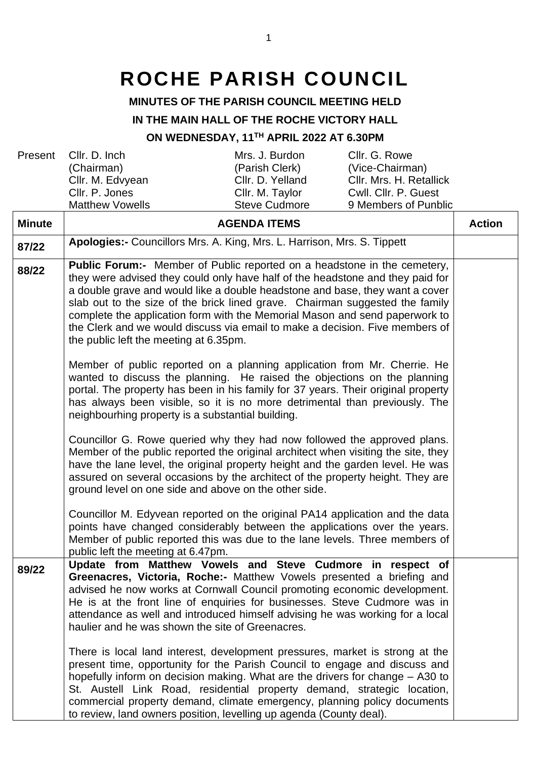# **ROCHE PARISH COUNCIL**

## **MINUTES OF THE PARISH COUNCIL MEETING HELD**

#### **IN THE MAIN HALL OF THE ROCHE VICTORY HALL**

## **ON WEDNESDAY, 11TH APRIL 2022 AT 6.30PM**

| Present       | Cllr. D. Inch                                                                                                                                                                                                                                                                                                                                                                                                                                                                                                                                                                                                                                                                                      | Mrs. J. Burdon       | Cllr. G. Rowe           |               |
|---------------|----------------------------------------------------------------------------------------------------------------------------------------------------------------------------------------------------------------------------------------------------------------------------------------------------------------------------------------------------------------------------------------------------------------------------------------------------------------------------------------------------------------------------------------------------------------------------------------------------------------------------------------------------------------------------------------------------|----------------------|-------------------------|---------------|
|               | (Chairman)                                                                                                                                                                                                                                                                                                                                                                                                                                                                                                                                                                                                                                                                                         | (Parish Clerk)       | (Vice-Chairman)         |               |
|               | Cllr. M. Edvyean                                                                                                                                                                                                                                                                                                                                                                                                                                                                                                                                                                                                                                                                                   | Cllr. D. Yelland     | Cllr. Mrs. H. Retallick |               |
|               | Cllr. P. Jones                                                                                                                                                                                                                                                                                                                                                                                                                                                                                                                                                                                                                                                                                     | Cllr. M. Taylor      | Cwll. Cllr. P. Guest    |               |
|               | <b>Matthew Vowells</b>                                                                                                                                                                                                                                                                                                                                                                                                                                                                                                                                                                                                                                                                             | <b>Steve Cudmore</b> | 9 Members of Punblic    |               |
| <b>Minute</b> |                                                                                                                                                                                                                                                                                                                                                                                                                                                                                                                                                                                                                                                                                                    | <b>AGENDA ITEMS</b>  |                         | <b>Action</b> |
| 87/22         | Apologies:- Councillors Mrs. A. King, Mrs. L. Harrison, Mrs. S. Tippett                                                                                                                                                                                                                                                                                                                                                                                                                                                                                                                                                                                                                            |                      |                         |               |
| 88/22         | <b>Public Forum:-</b> Member of Public reported on a headstone in the cemetery,<br>they were advised they could only have half of the headstone and they paid for<br>a double grave and would like a double headstone and base, they want a cover<br>slab out to the size of the brick lined grave. Chairman suggested the family<br>complete the application form with the Memorial Mason and send paperwork to<br>the Clerk and we would discuss via email to make a decision. Five members of<br>the public left the meeting at 6.35pm.<br>Member of public reported on a planning application from Mr. Cherrie. He<br>wanted to discuss the planning. He raised the objections on the planning |                      |                         |               |
|               | portal. The property has been in his family for 37 years. Their original property<br>has always been visible, so it is no more detrimental than previously. The<br>neighbourhing property is a substantial building.<br>Councillor G. Rowe queried why they had now followed the approved plans.<br>Member of the public reported the original architect when visiting the site, they<br>have the lane level, the original property height and the garden level. He was<br>assured on several occasions by the architect of the property height. They are<br>ground level on one side and above on the other side.                                                                                 |                      |                         |               |
|               | Councillor M. Edyvean reported on the original PA14 application and the data<br>points have changed considerably between the applications over the years.<br>Member of public reported this was due to the lane levels. Three members of<br>public left the meeting at 6.47pm.                                                                                                                                                                                                                                                                                                                                                                                                                     |                      |                         |               |
| 89/22         | Update from Matthew Vowels and Steve Cudmore in respect of<br>Greenacres, Victoria, Roche:- Matthew Vowels presented a briefing and<br>advised he now works at Cornwall Council promoting economic development.<br>He is at the front line of enquiries for businesses. Steve Cudmore was in<br>attendance as well and introduced himself advising he was working for a local<br>haulier and he was shown the site of Greenacres.                                                                                                                                                                                                                                                                  |                      |                         |               |
|               | There is local land interest, development pressures, market is strong at the<br>present time, opportunity for the Parish Council to engage and discuss and<br>hopefully inform on decision making. What are the drivers for change - A30 to<br>St. Austell Link Road, residential property demand, strategic location,<br>commercial property demand, climate emergency, planning policy documents<br>to review, land owners position, levelling up agenda (County deal).                                                                                                                                                                                                                          |                      |                         |               |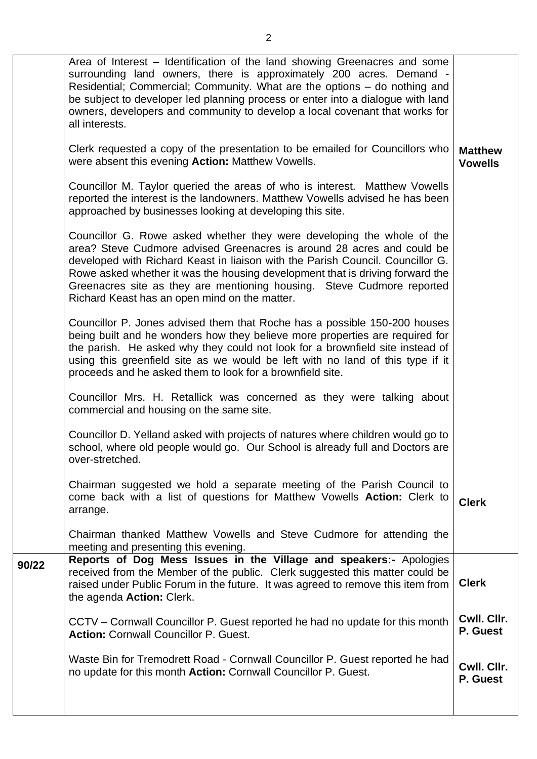|       | Area of Interest – Identification of the land showing Greenacres and some<br>surrounding land owners, there is approximately 200 acres. Demand -<br>Residential; Commercial; Community. What are the options - do nothing and<br>be subject to developer led planning process or enter into a dialogue with land<br>owners, developers and community to develop a local covenant that works for<br>all interests.                              |                                  |
|-------|------------------------------------------------------------------------------------------------------------------------------------------------------------------------------------------------------------------------------------------------------------------------------------------------------------------------------------------------------------------------------------------------------------------------------------------------|----------------------------------|
|       | Clerk requested a copy of the presentation to be emailed for Councillors who<br>were absent this evening Action: Matthew Vowells.                                                                                                                                                                                                                                                                                                              | <b>Matthew</b><br><b>Vowells</b> |
|       | Councillor M. Taylor queried the areas of who is interest. Matthew Vowells<br>reported the interest is the landowners. Matthew Vowells advised he has been<br>approached by businesses looking at developing this site.                                                                                                                                                                                                                        |                                  |
|       | Councillor G. Rowe asked whether they were developing the whole of the<br>area? Steve Cudmore advised Greenacres is around 28 acres and could be<br>developed with Richard Keast in liaison with the Parish Council. Councillor G.<br>Rowe asked whether it was the housing development that is driving forward the<br>Greenacres site as they are mentioning housing. Steve Cudmore reported<br>Richard Keast has an open mind on the matter. |                                  |
|       | Councillor P. Jones advised them that Roche has a possible 150-200 houses<br>being built and he wonders how they believe more properties are required for<br>the parish. He asked why they could not look for a brownfield site instead of<br>using this greenfield site as we would be left with no land of this type if it<br>proceeds and he asked them to look for a brownfield site.                                                      |                                  |
|       | Councillor Mrs. H. Retallick was concerned as they were talking about<br>commercial and housing on the same site.                                                                                                                                                                                                                                                                                                                              |                                  |
|       | Councillor D. Yelland asked with projects of natures where children would go to<br>school, where old people would go. Our School is already full and Doctors are<br>over-stretched.                                                                                                                                                                                                                                                            |                                  |
|       | Chairman suggested we hold a separate meeting of the Parish Council to<br>come back with a list of questions for Matthew Vowells Action: Clerk to<br>arrange.                                                                                                                                                                                                                                                                                  | <b>Clerk</b>                     |
|       | Chairman thanked Matthew Vowells and Steve Cudmore for attending the<br>meeting and presenting this evening.                                                                                                                                                                                                                                                                                                                                   |                                  |
| 90/22 | Reports of Dog Mess Issues in the Village and speakers:- Apologies<br>received from the Member of the public. Clerk suggested this matter could be<br>raised under Public Forum in the future. It was agreed to remove this item from<br>the agenda Action: Clerk.                                                                                                                                                                             | <b>Clerk</b>                     |
|       | CCTV – Cornwall Councillor P. Guest reported he had no update for this month<br><b>Action: Cornwall Councillor P. Guest.</b>                                                                                                                                                                                                                                                                                                                   | Cwll. Cllr.<br>P. Guest          |
|       | Waste Bin for Tremodrett Road - Cornwall Councillor P. Guest reported he had<br>no update for this month Action: Cornwall Councillor P. Guest.                                                                                                                                                                                                                                                                                                 | Cwll. Cllr.<br>P. Guest          |
|       |                                                                                                                                                                                                                                                                                                                                                                                                                                                |                                  |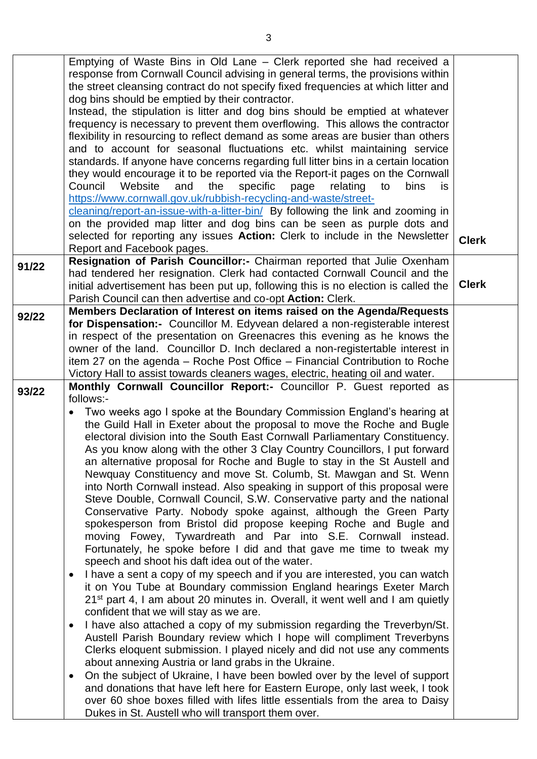|       | Emptying of Waste Bins in Old Lane – Clerk reported she had received a                    |              |
|-------|-------------------------------------------------------------------------------------------|--------------|
|       | response from Cornwall Council advising in general terms, the provisions within           |              |
|       | the street cleansing contract do not specify fixed frequencies at which litter and        |              |
|       | dog bins should be emptied by their contractor.                                           |              |
|       | Instead, the stipulation is litter and dog bins should be emptied at whatever             |              |
|       | frequency is necessary to prevent them overflowing. This allows the contractor            |              |
|       |                                                                                           |              |
|       | flexibility in resourcing to reflect demand as some areas are busier than others          |              |
|       | and to account for seasonal fluctuations etc. whilst maintaining service                  |              |
|       | standards. If anyone have concerns regarding full litter bins in a certain location       |              |
|       | they would encourage it to be reported via the Report-it pages on the Cornwall            |              |
|       | Website<br>the specific<br>Council<br>and<br>relating<br>page<br>to<br>bins<br>is.        |              |
|       | https://www.cornwall.gov.uk/rubbish-recycling-and-waste/street-                           |              |
|       | cleaning/report-an-issue-with-a-litter-bin/ By following the link and zooming in          |              |
|       |                                                                                           |              |
|       | on the provided map litter and dog bins can be seen as purple dots and                    |              |
|       | selected for reporting any issues Action: Clerk to include in the Newsletter              | <b>Clerk</b> |
|       | Report and Facebook pages.                                                                |              |
| 91/22 | Resignation of Parish Councillor:- Chairman reported that Julie Oxenham                   |              |
|       | had tendered her resignation. Clerk had contacted Cornwall Council and the                |              |
|       | initial advertisement has been put up, following this is no election is called the        | <b>Clerk</b> |
|       | Parish Council can then advertise and co-opt Action: Clerk.                               |              |
|       | Members Declaration of Interest on items raised on the Agenda/Requests                    |              |
| 92/22 | for Dispensation:- Councillor M. Edyvean delared a non-registerable interest              |              |
|       | in respect of the presentation on Greenacres this evening as he knows the                 |              |
|       |                                                                                           |              |
|       | owner of the land. Councillor D. Inch declared a non-registertable interest in            |              |
|       | item 27 on the agenda – Roche Post Office – Financial Contribution to Roche               |              |
|       | Victory Hall to assist towards cleaners wages, electric, heating oil and water.           |              |
| 93/22 | Monthly Cornwall Councillor Report:- Councillor P. Guest reported as                      |              |
|       | follows:-                                                                                 |              |
|       | Two weeks ago I spoke at the Boundary Commission England's hearing at<br>$\bullet$        |              |
|       | the Guild Hall in Exeter about the proposal to move the Roche and Bugle                   |              |
|       | electoral division into the South East Cornwall Parliamentary Constituency.               |              |
|       |                                                                                           |              |
|       | As you know along with the other 3 Clay Country Councillors, I put forward                |              |
|       | an alternative proposal for Roche and Bugle to stay in the St Austell and                 |              |
|       | Newquay Constituency and move St. Columb, St. Mawgan and St. Wenn                         |              |
|       | into North Cornwall instead. Also speaking in support of this proposal were               |              |
|       | Steve Double, Cornwall Council, S.W. Conservative party and the national                  |              |
|       | Conservative Party. Nobody spoke against, although the Green Party                        |              |
|       | spokesperson from Bristol did propose keeping Roche and Bugle and                         |              |
|       | moving Fowey, Tywardreath and Par into S.E. Cornwall instead.                             |              |
|       |                                                                                           |              |
|       | Fortunately, he spoke before I did and that gave me time to tweak my                      |              |
|       | speech and shoot his daft idea out of the water.                                          |              |
|       | I have a sent a copy of my speech and if you are interested, you can watch<br>$\bullet$   |              |
|       | it on You Tube at Boundary commission England hearings Exeter March                       |              |
|       | 21 <sup>st</sup> part 4, I am about 20 minutes in. Overall, it went well and I am quietly |              |
|       | confident that we will stay as we are.                                                    |              |
|       | I have also attached a copy of my submission regarding the Treverbyn/St.<br>$\bullet$     |              |
|       |                                                                                           |              |
|       | Austell Parish Boundary review which I hope will compliment Treverbyns                    |              |
|       | Clerks eloquent submission. I played nicely and did not use any comments                  |              |
|       | about annexing Austria or land grabs in the Ukraine.                                      |              |
|       | On the subject of Ukraine, I have been bowled over by the level of support<br>$\bullet$   |              |
|       | and donations that have left here for Eastern Europe, only last week, I took              |              |
|       | over 60 shoe boxes filled with lifes little essentials from the area to Daisy             |              |
|       | Dukes in St. Austell who will transport them over.                                        |              |
|       |                                                                                           |              |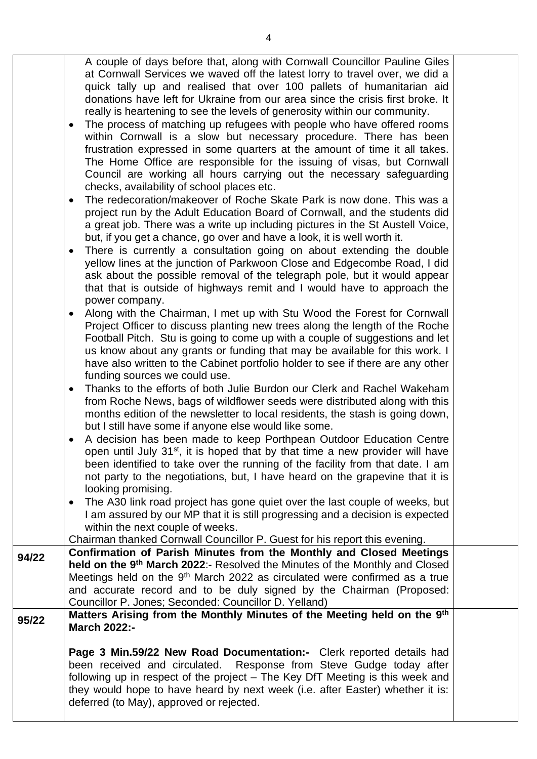|       | A couple of days before that, along with Cornwall Councillor Pauline Giles<br>at Cornwall Services we waved off the latest lorry to travel over, we did a<br>quick tally up and realised that over 100 pallets of humanitarian aid<br>donations have left for Ukraine from our area since the crisis first broke. It<br>really is heartening to see the levels of generosity within our community.<br>The process of matching up refugees with people who have offered rooms<br>$\bullet$<br>within Cornwall is a slow but necessary procedure. There has been |  |
|-------|----------------------------------------------------------------------------------------------------------------------------------------------------------------------------------------------------------------------------------------------------------------------------------------------------------------------------------------------------------------------------------------------------------------------------------------------------------------------------------------------------------------------------------------------------------------|--|
|       | frustration expressed in some quarters at the amount of time it all takes.<br>The Home Office are responsible for the issuing of visas, but Cornwall<br>Council are working all hours carrying out the necessary safeguarding<br>checks, availability of school places etc.                                                                                                                                                                                                                                                                                    |  |
|       | The redecoration/makeover of Roche Skate Park is now done. This was a<br>$\bullet$<br>project run by the Adult Education Board of Cornwall, and the students did<br>a great job. There was a write up including pictures in the St Austell Voice,<br>but, if you get a chance, go over and have a look, it is well worth it.                                                                                                                                                                                                                                   |  |
|       | There is currently a consultation going on about extending the double<br>yellow lines at the junction of Parkwoon Close and Edgecombe Road, I did<br>ask about the possible removal of the telegraph pole, but it would appear<br>that that is outside of highways remit and I would have to approach the                                                                                                                                                                                                                                                      |  |
|       | power company.<br>Along with the Chairman, I met up with Stu Wood the Forest for Cornwall<br>$\bullet$<br>Project Officer to discuss planting new trees along the length of the Roche<br>Football Pitch. Stu is going to come up with a couple of suggestions and let<br>us know about any grants or funding that may be available for this work. I<br>have also written to the Cabinet portfolio holder to see if there are any other<br>funding sources we could use.                                                                                        |  |
|       | Thanks to the efforts of both Julie Burdon our Clerk and Rachel Wakeham<br>$\bullet$<br>from Roche News, bags of wildflower seeds were distributed along with this<br>months edition of the newsletter to local residents, the stash is going down,<br>but I still have some if anyone else would like some.                                                                                                                                                                                                                                                   |  |
|       | A decision has been made to keep Porthpean Outdoor Education Centre<br>open until July $31st$ , it is hoped that by that time a new provider will have<br>been identified to take over the running of the facility from that date. I am<br>not party to the negotiations, but, I have heard on the grapevine that it is<br>looking promising.                                                                                                                                                                                                                  |  |
|       | The A30 link road project has gone quiet over the last couple of weeks, but<br>$\bullet$<br>I am assured by our MP that it is still progressing and a decision is expected<br>within the next couple of weeks.<br>Chairman thanked Cornwall Councillor P. Guest for his report this evening.                                                                                                                                                                                                                                                                   |  |
| 94/22 | Confirmation of Parish Minutes from the Monthly and Closed Meetings                                                                                                                                                                                                                                                                                                                                                                                                                                                                                            |  |
|       | held on the 9 <sup>th</sup> March 2022:- Resolved the Minutes of the Monthly and Closed<br>Meetings held on the 9 <sup>th</sup> March 2022 as circulated were confirmed as a true<br>and accurate record and to be duly signed by the Chairman (Proposed:<br>Councillor P. Jones; Seconded: Councillor D. Yelland)                                                                                                                                                                                                                                             |  |
| 95/22 | Matters Arising from the Monthly Minutes of the Meeting held on the 9th<br><b>March 2022:-</b>                                                                                                                                                                                                                                                                                                                                                                                                                                                                 |  |
|       | Page 3 Min.59/22 New Road Documentation:- Clerk reported details had<br>been received and circulated. Response from Steve Gudge today after<br>following up in respect of the project - The Key DfT Meeting is this week and<br>they would hope to have heard by next week (i.e. after Easter) whether it is:<br>deferred (to May), approved or rejected.                                                                                                                                                                                                      |  |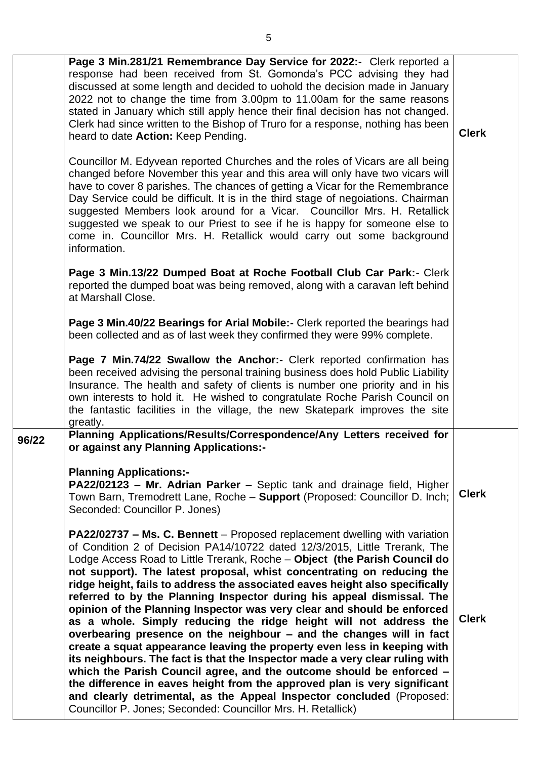|       | Page 3 Min.281/21 Remembrance Day Service for 2022:- Clerk reported a<br>response had been received from St. Gomonda's PCC advising they had<br>discussed at some length and decided to uohold the decision made in January<br>2022 not to change the time from 3.00pm to 11.00am for the same reasons<br>stated in January which still apply hence their final decision has not changed.<br>Clerk had since written to the Bishop of Truro for a response, nothing has been<br>heard to date Action: Keep Pending.<br>Councillor M. Edyvean reported Churches and the roles of Vicars are all being<br>changed before November this year and this area will only have two vicars will<br>have to cover 8 parishes. The chances of getting a Vicar for the Remembrance<br>Day Service could be difficult. It is in the third stage of negoiations. Chairman<br>suggested Members look around for a Vicar. Councillor Mrs. H. Retallick<br>suggested we speak to our Priest to see if he is happy for someone else to<br>come in. Councillor Mrs. H. Retallick would carry out some background<br>information.<br>Page 3 Min.13/22 Dumped Boat at Roche Football Club Car Park:- Clerk<br>reported the dumped boat was being removed, along with a caravan left behind<br>at Marshall Close.<br>Page 3 Min.40/22 Bearings for Arial Mobile:- Clerk reported the bearings had<br>been collected and as of last week they confirmed they were 99% complete.<br>Page 7 Min.74/22 Swallow the Anchor:- Clerk reported confirmation has<br>been received advising the personal training business does hold Public Liability<br>Insurance. The health and safety of clients is number one priority and in his<br>own interests to hold it. He wished to congratulate Roche Parish Council on | <b>Clerk</b>                 |
|-------|---------------------------------------------------------------------------------------------------------------------------------------------------------------------------------------------------------------------------------------------------------------------------------------------------------------------------------------------------------------------------------------------------------------------------------------------------------------------------------------------------------------------------------------------------------------------------------------------------------------------------------------------------------------------------------------------------------------------------------------------------------------------------------------------------------------------------------------------------------------------------------------------------------------------------------------------------------------------------------------------------------------------------------------------------------------------------------------------------------------------------------------------------------------------------------------------------------------------------------------------------------------------------------------------------------------------------------------------------------------------------------------------------------------------------------------------------------------------------------------------------------------------------------------------------------------------------------------------------------------------------------------------------------------------------------------------------------------------------------------------------------------------------------------|------------------------------|
| 96/22 | the fantastic facilities in the village, the new Skatepark improves the site<br>greatly.<br>Planning Applications/Results/Correspondence/Any Letters received for                                                                                                                                                                                                                                                                                                                                                                                                                                                                                                                                                                                                                                                                                                                                                                                                                                                                                                                                                                                                                                                                                                                                                                                                                                                                                                                                                                                                                                                                                                                                                                                                                     |                              |
|       | or against any Planning Applications:-<br><b>Planning Applications:-</b><br>PA22/02123 - Mr. Adrian Parker - Septic tank and drainage field, Higher<br>Town Barn, Tremodrett Lane, Roche - Support (Proposed: Councillor D. Inch;<br>Seconded: Councillor P. Jones)<br>PA22/02737 - Ms. C. Bennett - Proposed replacement dwelling with variation<br>of Condition 2 of Decision PA14/10722 dated 12/3/2015, Little Trerank, The<br>Lodge Access Road to Little Trerank, Roche - Object (the Parish Council do<br>not support). The latest proposal, whist concentrating on reducing the<br>ridge height, fails to address the associated eaves height also specifically<br>referred to by the Planning Inspector during his appeal dismissal. The<br>opinion of the Planning Inspector was very clear and should be enforced<br>as a whole. Simply reducing the ridge height will not address the<br>overbearing presence on the neighbour - and the changes will in fact<br>create a squat appearance leaving the property even less in keeping with<br>its neighbours. The fact is that the Inspector made a very clear ruling with<br>which the Parish Council agree, and the outcome should be enforced -<br>the difference in eaves height from the approved plan is very significant<br>and clearly detrimental, as the Appeal Inspector concluded (Proposed:<br>Councillor P. Jones; Seconded: Councillor Mrs. H. Retallick)                                                                                                                                                                                                                                                                                                                                                   | <b>Clerk</b><br><b>Clerk</b> |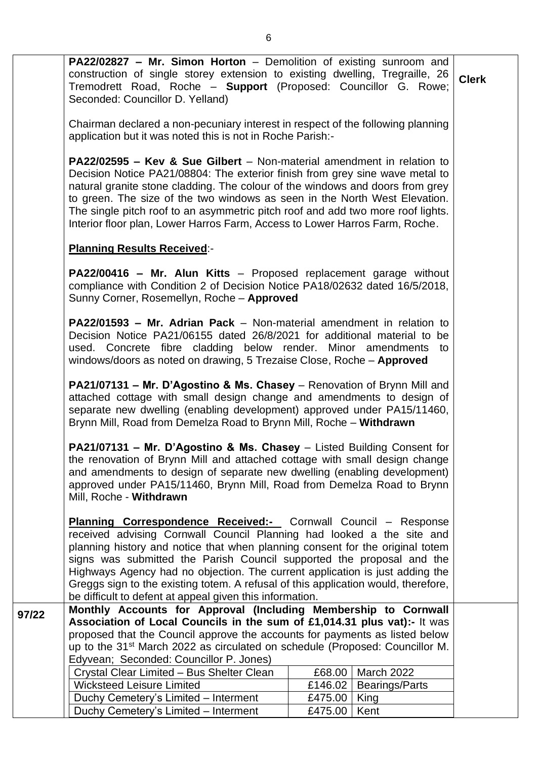**PA22/02827 – Mr. Simon Horton** – Demolition of existing sunroom and construction of single storey extension to existing dwelling, Tregraille, 26 Tremodrett Road, Roche – **Support** (Proposed: Councillor G. Rowe; Seconded: Councillor D. Yelland) Chairman declared a non-pecuniary interest in respect of the following planning application but it was noted this is not in Roche Parish:- **Clerk**

**PA22/02595 – Kev & Sue Gilbert** – Non-material amendment in relation to Decision Notice PA21/08804: The exterior finish from grey sine wave metal to natural granite stone cladding. The colour of the windows and doors from grey to green. The size of the two windows as seen in the North West Elevation. The single pitch roof to an asymmetric pitch roof and add two more roof lights. Interior floor plan, Lower Harros Farm, Access to Lower Harros Farm, Roche.

### **Planning Results Received**:-

**PA22/00416 – Mr. Alun Kitts** – Proposed replacement garage without compliance with Condition 2 of Decision Notice PA18/02632 dated 16/5/2018, Sunny Corner, Rosemellyn, Roche – **Approved**

**PA22/01593 – Mr. Adrian Pack** – Non-material amendment in relation to Decision Notice PA21/06155 dated 26/8/2021 for additional material to be used. Concrete fibre cladding below render. Minor amendments to windows/doors as noted on drawing, 5 Trezaise Close, Roche – **Approved**

**PA21/07131 – Mr. D'Agostino & Ms. Chasey** – Renovation of Brynn Mill and attached cottage with small design change and amendments to design of separate new dwelling (enabling development) approved under PA15/11460, Brynn Mill, Road from Demelza Road to Brynn Mill, Roche – **Withdrawn**

**PA21/07131 – Mr. D'Agostino & Ms. Chasey** – Listed Building Consent for the renovation of Brynn Mill and attached cottage with small design change and amendments to design of separate new dwelling (enabling development) approved under PA15/11460, Brynn Mill, Road from Demelza Road to Brynn Mill, Roche - **Withdrawn**

**Planning Correspondence Received:-** Cornwall Council – Response received advising Cornwall Council Planning had looked a the site and planning history and notice that when planning consent for the original totem signs was submitted the Parish Council supported the proposal and the Highways Agency had no objection. The current application is just adding the Greggs sign to the existing totem. A refusal of this application would, therefore, be difficult to defent at appeal given this information.

**97/22 Monthly Accounts for Approval (Including Membership to Cornwall Association of Local Councils in the sum of £1,014.31 plus vat):-** It was proposed that the Council approve the accounts for payments as listed below up to the 31st March 2022 as circulated on schedule (Proposed: Councillor M. Edyvean; Seconded: Councillor P. Jones)

| Crystal Clear Limited - Bus Shelter Clean |                | £68,00   March 2022      |
|-------------------------------------------|----------------|--------------------------|
| <b>Wicksteed Leisure Limited</b>          |                | £146.02   Bearings/Parts |
| Duchy Cemetery's Limited - Interment      | £475.00   King |                          |
| Duchy Cemetery's Limited - Interment      | £475.00   Kent |                          |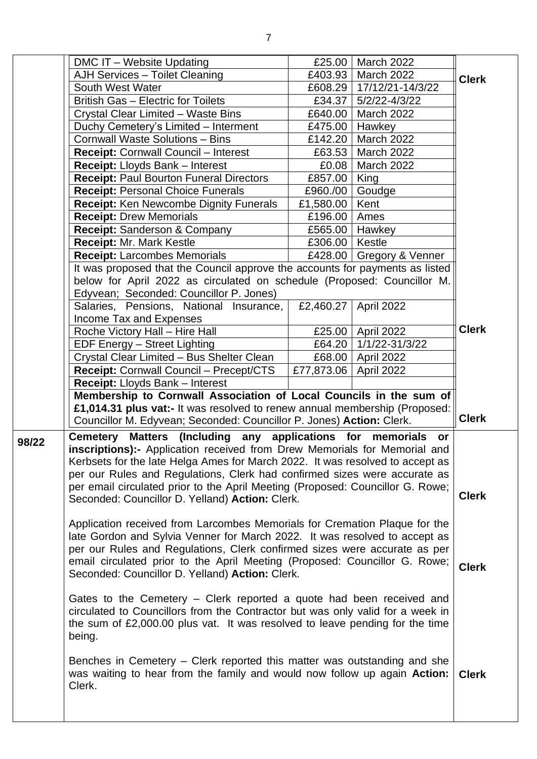|       | DMC IT - Website Updating                                                                                                                                         | £25.00           | <b>March 2022</b>          |              |
|-------|-------------------------------------------------------------------------------------------------------------------------------------------------------------------|------------------|----------------------------|--------------|
|       | AJH Services - Toilet Cleaning                                                                                                                                    | £403.93          | March 2022                 | <b>Clerk</b> |
|       | South West Water                                                                                                                                                  |                  | £608.29   17/12/21-14/3/22 |              |
|       | British Gas - Electric for Toilets                                                                                                                                | £34.37           | 5/2/22-4/3/22              |              |
|       | Crystal Clear Limited - Waste Bins                                                                                                                                | £640.00          | <b>March 2022</b>          |              |
|       | Duchy Cemetery's Limited - Interment                                                                                                                              | £475.00          | Hawkey                     |              |
|       | <b>Cornwall Waste Solutions - Bins</b>                                                                                                                            | £142.20          | <b>March 2022</b>          |              |
|       | <b>Receipt: Cornwall Council - Interest</b>                                                                                                                       | £63.53           | <b>March 2022</b>          |              |
|       | Receipt: Lloyds Bank - Interest                                                                                                                                   | £0.08            | March 2022                 |              |
|       | <b>Receipt: Paul Bourton Funeral Directors</b>                                                                                                                    | £857.00          | King                       |              |
|       | <b>Receipt: Personal Choice Funerals</b>                                                                                                                          | £960./00         | Goudge                     |              |
|       | <b>Receipt: Ken Newcombe Dignity Funerals</b>                                                                                                                     | £1,580.00        | Kent                       |              |
|       | <b>Receipt: Drew Memorials</b>                                                                                                                                    | £196.00          | Ames                       |              |
|       | Receipt: Sanderson & Company                                                                                                                                      |                  | £565.00   Hawkey           |              |
|       | <b>Receipt: Mr. Mark Kestle</b>                                                                                                                                   | £306.00   Kestle |                            |              |
|       | <b>Receipt: Larcombes Memorials</b>                                                                                                                               |                  | £428.00 Gregory & Venner   |              |
|       | It was proposed that the Council approve the accounts for payments as listed                                                                                      |                  |                            |              |
|       | below for April 2022 as circulated on schedule (Proposed: Councillor M.                                                                                           |                  |                            |              |
|       | Edyvean; Seconded: Councillor P. Jones)                                                                                                                           |                  |                            |              |
|       | Salaries, Pensions, National Insurance,                                                                                                                           | £2,460.27        | April 2022                 |              |
|       | Income Tax and Expenses                                                                                                                                           |                  |                            | <b>Clerk</b> |
|       | Roche Victory Hall - Hire Hall                                                                                                                                    |                  | £25.00 April 2022          |              |
|       | EDF Energy - Street Lighting                                                                                                                                      | £64.20           | 1/1/22-31/3/22             |              |
|       | Crystal Clear Limited - Bus Shelter Clean                                                                                                                         | £68.00           | April 2022                 |              |
|       | Receipt: Cornwall Council - Precept/CTS                                                                                                                           | £77,873.06       | April 2022                 |              |
|       | Receipt: Lloyds Bank - Interest                                                                                                                                   |                  |                            |              |
|       | Membership to Cornwall Association of Local Councils in the sum of<br>£1,014.31 plus vat:- It was resolved to renew annual membership (Proposed:                  |                  |                            |              |
|       | Councillor M. Edyvean; Seconded: Councillor P. Jones) Action: Clerk.                                                                                              |                  |                            | <b>Clerk</b> |
|       |                                                                                                                                                                   |                  |                            |              |
| 98/22 | Matters (Including any applications for memorials<br><b>Cemetery</b>                                                                                              |                  | or                         |              |
|       | <b>inscriptions):-</b> Application received from Drew Memorials for Memorial and<br>Kerbsets for the late Helga Ames for March 2022. It was resolved to accept as |                  |                            |              |
|       | per our Rules and Regulations, Clerk had confirmed sizes were accurate as                                                                                         |                  |                            |              |
|       | per email circulated prior to the April Meeting (Proposed: Councillor G. Rowe;                                                                                    |                  |                            |              |
|       | Seconded: Councillor D. Yelland) Action: Clerk.                                                                                                                   |                  |                            | <b>Clerk</b> |
|       |                                                                                                                                                                   |                  |                            |              |
|       | Application received from Larcombes Memorials for Cremation Plaque for the                                                                                        |                  |                            |              |
|       | late Gordon and Sylvia Venner for March 2022. It was resolved to accept as                                                                                        |                  |                            |              |
|       | per our Rules and Regulations, Clerk confirmed sizes were accurate as per                                                                                         |                  |                            |              |
|       | email circulated prior to the April Meeting (Proposed: Councillor G. Rowe;                                                                                        |                  |                            |              |
|       | Seconded: Councillor D. Yelland) Action: Clerk.                                                                                                                   |                  |                            | <b>Clerk</b> |
|       |                                                                                                                                                                   |                  |                            |              |
|       | Gates to the Cemetery – Clerk reported a quote had been received and                                                                                              |                  |                            |              |
|       | circulated to Councillors from the Contractor but was only valid for a week in                                                                                    |                  |                            |              |
|       | the sum of £2,000.00 plus vat. It was resolved to leave pending for the time                                                                                      |                  |                            |              |
|       | being.                                                                                                                                                            |                  |                            |              |
|       |                                                                                                                                                                   |                  |                            |              |
|       | Benches in Cemetery – Clerk reported this matter was outstanding and she                                                                                          |                  |                            |              |
|       | was waiting to hear from the family and would now follow up again Action:                                                                                         |                  |                            | <b>Clerk</b> |
|       |                                                                                                                                                                   |                  |                            |              |
|       | Clerk.                                                                                                                                                            |                  |                            |              |
|       |                                                                                                                                                                   |                  |                            |              |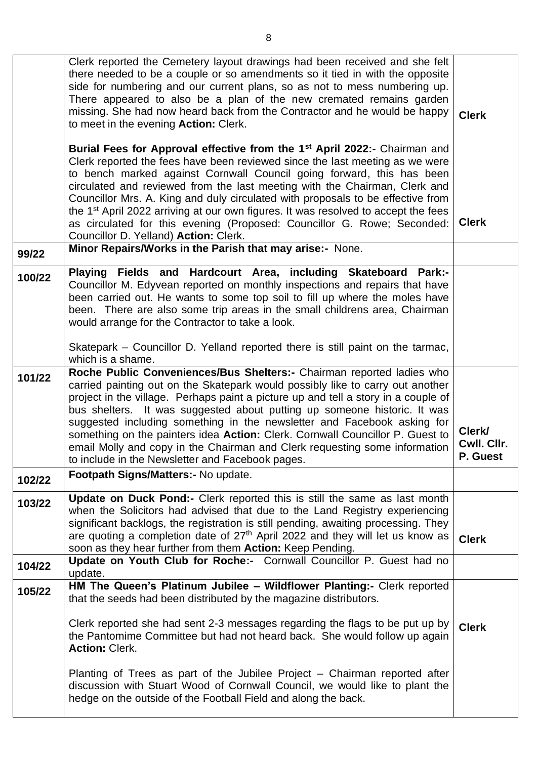|        | Clerk reported the Cemetery layout drawings had been received and she felt<br>there needed to be a couple or so amendments so it tied in with the opposite<br>side for numbering and our current plans, so as not to mess numbering up.<br>There appeared to also be a plan of the new cremated remains garden<br>missing. She had now heard back from the Contractor and he would be happy<br>to meet in the evening Action: Clerk.<br>Burial Fees for Approval effective from the 1 <sup>st</sup> April 2022:- Chairman and                                                                                           | <b>Clerk</b>                      |
|--------|-------------------------------------------------------------------------------------------------------------------------------------------------------------------------------------------------------------------------------------------------------------------------------------------------------------------------------------------------------------------------------------------------------------------------------------------------------------------------------------------------------------------------------------------------------------------------------------------------------------------------|-----------------------------------|
|        | Clerk reported the fees have been reviewed since the last meeting as we were<br>to bench marked against Cornwall Council going forward, this has been<br>circulated and reviewed from the last meeting with the Chairman, Clerk and<br>Councillor Mrs. A. King and duly circulated with proposals to be effective from<br>the 1 <sup>st</sup> April 2022 arriving at our own figures. It was resolved to accept the fees<br>as circulated for this evening (Proposed: Councillor G. Rowe; Seconded:<br>Councillor D. Yelland) Action: Clerk.                                                                            | <b>Clerk</b>                      |
| 99/22  | Minor Repairs/Works in the Parish that may arise:- None.                                                                                                                                                                                                                                                                                                                                                                                                                                                                                                                                                                |                                   |
| 100/22 | Playing Fields and Hardcourt Area, including Skateboard Park:-<br>Councillor M. Edyvean reported on monthly inspections and repairs that have<br>been carried out. He wants to some top soil to fill up where the moles have<br>been. There are also some trip areas in the small childrens area, Chairman<br>would arrange for the Contractor to take a look.                                                                                                                                                                                                                                                          |                                   |
|        | Skatepark – Councillor D. Yelland reported there is still paint on the tarmac,<br>which is a shame.                                                                                                                                                                                                                                                                                                                                                                                                                                                                                                                     |                                   |
| 101/22 | Roche Public Conveniences/Bus Shelters:- Chairman reported ladies who<br>carried painting out on the Skatepark would possibly like to carry out another<br>project in the village. Perhaps paint a picture up and tell a story in a couple of<br>bus shelters. It was suggested about putting up someone historic. It was<br>suggested including something in the newsletter and Facebook asking for<br>something on the painters idea Action: Clerk. Cornwall Councillor P. Guest to<br>email Molly and copy in the Chairman and Clerk requesting some information<br>to include in the Newsletter and Facebook pages. | Clerk/<br>Cwll. Cllr.<br>P. Guest |
| 102/22 | Footpath Signs/Matters:- No update.                                                                                                                                                                                                                                                                                                                                                                                                                                                                                                                                                                                     |                                   |
| 103/22 | Update on Duck Pond:- Clerk reported this is still the same as last month<br>when the Solicitors had advised that due to the Land Registry experiencing<br>significant backlogs, the registration is still pending, awaiting processing. They<br>are quoting a completion date of 27 <sup>th</sup> April 2022 and they will let us know as<br>soon as they hear further from them Action: Keep Pending.                                                                                                                                                                                                                 | <b>Clerk</b>                      |
| 104/22 | Update on Youth Club for Roche:- Cornwall Councillor P. Guest had no<br>update.                                                                                                                                                                                                                                                                                                                                                                                                                                                                                                                                         |                                   |
| 105/22 | HM The Queen's Platinum Jubilee - Wildflower Planting:- Clerk reported<br>that the seeds had been distributed by the magazine distributors.                                                                                                                                                                                                                                                                                                                                                                                                                                                                             |                                   |
|        | Clerk reported she had sent 2-3 messages regarding the flags to be put up by<br>the Pantomime Committee but had not heard back. She would follow up again<br><b>Action: Clerk.</b>                                                                                                                                                                                                                                                                                                                                                                                                                                      | <b>Clerk</b>                      |
|        | Planting of Trees as part of the Jubilee Project – Chairman reported after<br>discussion with Stuart Wood of Cornwall Council, we would like to plant the<br>hedge on the outside of the Football Field and along the back.                                                                                                                                                                                                                                                                                                                                                                                             |                                   |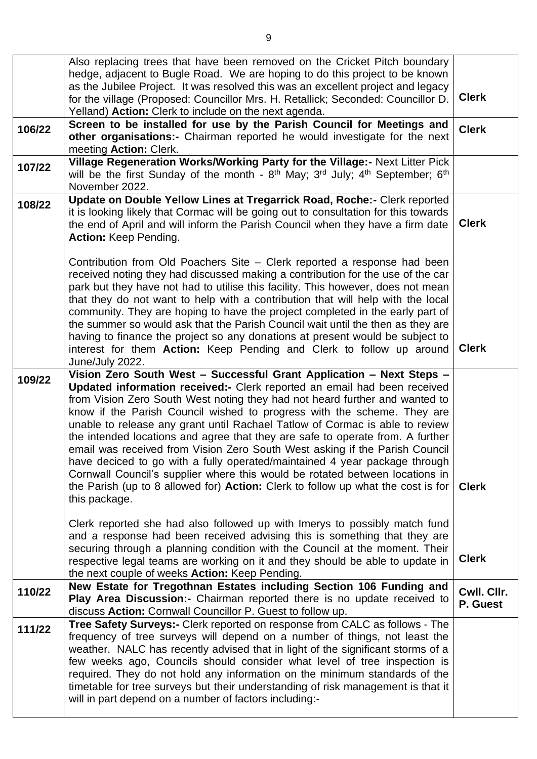|        | Also replacing trees that have been removed on the Cricket Pitch boundary<br>hedge, adjacent to Bugle Road. We are hoping to do this project to be known<br>as the Jubilee Project. It was resolved this was an excellent project and legacy<br>for the village (Proposed: Councillor Mrs. H. Retallick; Seconded: Councillor D.<br>Yelland) Action: Clerk to include on the next agenda.                                                                                                                                                                                                                                                                                                                                                                                                                                             | <b>Clerk</b>            |  |
|--------|---------------------------------------------------------------------------------------------------------------------------------------------------------------------------------------------------------------------------------------------------------------------------------------------------------------------------------------------------------------------------------------------------------------------------------------------------------------------------------------------------------------------------------------------------------------------------------------------------------------------------------------------------------------------------------------------------------------------------------------------------------------------------------------------------------------------------------------|-------------------------|--|
| 106/22 | Screen to be installed for use by the Parish Council for Meetings and<br>other organisations:- Chairman reported he would investigate for the next<br>meeting Action: Clerk.                                                                                                                                                                                                                                                                                                                                                                                                                                                                                                                                                                                                                                                          | <b>Clerk</b>            |  |
| 107/22 | Village Regeneration Works/Working Party for the Village:- Next Litter Pick<br>will be the first Sunday of the month - $8th$ May; 3 <sup>rd</sup> July; 4 <sup>th</sup> September; 6 <sup>th</sup><br>November 2022.                                                                                                                                                                                                                                                                                                                                                                                                                                                                                                                                                                                                                  |                         |  |
| 108/22 | Update on Double Yellow Lines at Tregarrick Road, Roche:- Clerk reported<br>it is looking likely that Cormac will be going out to consultation for this towards<br><b>Clerk</b><br>the end of April and will inform the Parish Council when they have a firm date<br>Action: Keep Pending.                                                                                                                                                                                                                                                                                                                                                                                                                                                                                                                                            |                         |  |
|        | Contribution from Old Poachers Site – Clerk reported a response had been<br>received noting they had discussed making a contribution for the use of the car<br>park but they have not had to utilise this facility. This however, does not mean<br>that they do not want to help with a contribution that will help with the local<br>community. They are hoping to have the project completed in the early part of<br>the summer so would ask that the Parish Council wait until the then as they are<br>having to finance the project so any donations at present would be subject to<br>interest for them Action: Keep Pending and Clerk to follow up around<br>June/July 2022.                                                                                                                                                    | <b>Clerk</b>            |  |
| 109/22 | Vision Zero South West - Successful Grant Application - Next Steps -<br>Updated information received:- Clerk reported an email had been received<br>from Vision Zero South West noting they had not heard further and wanted to<br>know if the Parish Council wished to progress with the scheme. They are<br>unable to release any grant until Rachael Tatlow of Cormac is able to review<br>the intended locations and agree that they are safe to operate from. A further<br>email was received from Vision Zero South West asking if the Parish Council<br>have deciced to go with a fully operated/maintained 4 year package through<br>Cornwall Council's supplier where this would be rotated between locations in<br>the Parish (up to 8 allowed for) <b>Action:</b> Clerk to follow up what the cost is for<br>this package. | <b>Clerk</b>            |  |
|        | Clerk reported she had also followed up with Imerys to possibly match fund<br>and a response had been received advising this is something that they are<br>securing through a planning condition with the Council at the moment. Their<br>respective legal teams are working on it and they should be able to update in<br>the next couple of weeks <b>Action:</b> Keep Pending.                                                                                                                                                                                                                                                                                                                                                                                                                                                      | <b>Clerk</b>            |  |
| 110/22 | New Estate for Tregothnan Estates including Section 106 Funding and<br>Play Area Discussion:- Chairman reported there is no update received to<br>discuss Action: Cornwall Councillor P. Guest to follow up.                                                                                                                                                                                                                                                                                                                                                                                                                                                                                                                                                                                                                          | Cwll. Cllr.<br>P. Guest |  |
| 111/22 | Tree Safety Surveys:- Clerk reported on response from CALC as follows - The<br>frequency of tree surveys will depend on a number of things, not least the<br>weather. NALC has recently advised that in light of the significant storms of a<br>few weeks ago, Councils should consider what level of tree inspection is<br>required. They do not hold any information on the minimum standards of the<br>timetable for tree surveys but their understanding of risk management is that it<br>will in part depend on a number of factors including:-                                                                                                                                                                                                                                                                                  |                         |  |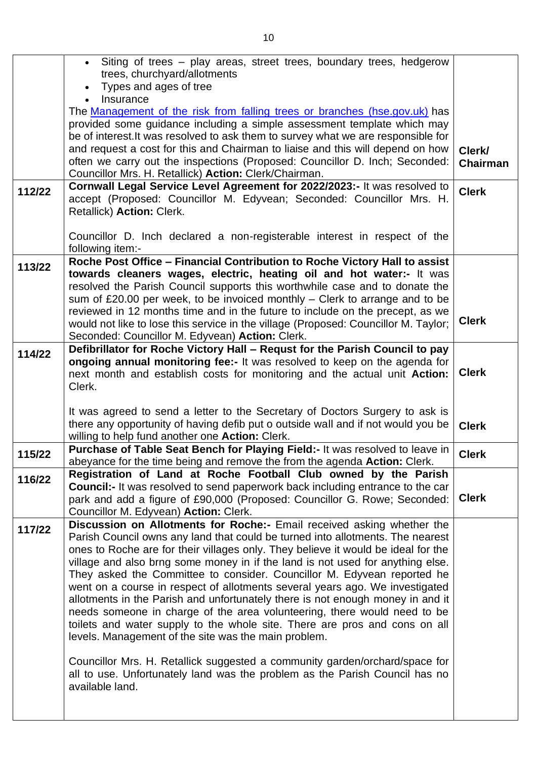|        | • Siting of trees - play areas, street trees, boundary trees, hedgerow<br>trees, churchyard/allotments                                                              |                    |
|--------|---------------------------------------------------------------------------------------------------------------------------------------------------------------------|--------------------|
|        | Types and ages of tree                                                                                                                                              |                    |
|        | Insurance<br>The Management of the risk from falling trees or branches (hse.gov.uk) has                                                                             |                    |
|        | provided some guidance including a simple assessment template which may                                                                                             |                    |
|        | be of interest. It was resolved to ask them to survey what we are responsible for<br>and request a cost for this and Chairman to liaise and this will depend on how |                    |
|        | often we carry out the inspections (Proposed: Councillor D. Inch; Seconded:                                                                                         | Clerk/<br>Chairman |
|        | Councillor Mrs. H. Retallick) Action: Clerk/Chairman.                                                                                                               |                    |
| 112/22 | Cornwall Legal Service Level Agreement for 2022/2023:- It was resolved to                                                                                           | <b>Clerk</b>       |
|        | accept (Proposed: Councillor M. Edyvean; Seconded: Councillor Mrs. H.<br>Retallick) Action: Clerk.                                                                  |                    |
|        | Councillor D. Inch declared a non-registerable interest in respect of the<br>following item:-                                                                       |                    |
| 113/22 | Roche Post Office - Financial Contribution to Roche Victory Hall to assist                                                                                          |                    |
|        | towards cleaners wages, electric, heating oil and hot water:- It was<br>resolved the Parish Council supports this worthwhile case and to donate the                 |                    |
|        | sum of £20.00 per week, to be invoiced monthly $-$ Clerk to arrange and to be                                                                                       |                    |
|        | reviewed in 12 months time and in the future to include on the precept, as we                                                                                       |                    |
|        | would not like to lose this service in the village (Proposed: Councillor M. Taylor;                                                                                 | <b>Clerk</b>       |
|        | Seconded: Councillor M. Edyvean) Action: Clerk.                                                                                                                     |                    |
| 114/22 | Defibrillator for Roche Victory Hall - Requst for the Parish Council to pay<br>ongoing annual monitoring fee:- It was resolved to keep on the agenda for            |                    |
|        | next month and establish costs for monitoring and the actual unit Action:                                                                                           | <b>Clerk</b>       |
|        | Clerk.                                                                                                                                                              |                    |
|        |                                                                                                                                                                     |                    |
|        | It was agreed to send a letter to the Secretary of Doctors Surgery to ask is                                                                                        |                    |
|        | there any opportunity of having defib put o outside wall and if not would you be<br>willing to help fund another one Action: Clerk.                                 | <b>Clerk</b>       |
| 115/22 | Purchase of Table Seat Bench for Playing Field:- It was resolved to leave in                                                                                        | <b>Clerk</b>       |
|        | abeyance for the time being and remove the from the agenda Action: Clerk.                                                                                           |                    |
| 116/22 | Registration of Land at Roche Football Club owned by the Parish                                                                                                     |                    |
|        | <b>Council:-</b> It was resolved to send paperwork back including entrance to the car                                                                               | <b>Clerk</b>       |
|        | park and add a figure of £90,000 (Proposed: Councillor G. Rowe; Seconded:<br>Councillor M. Edyvean) Action: Clerk.                                                  |                    |
| 117/22 | Discussion on Allotments for Roche:- Email received asking whether the                                                                                              |                    |
|        | Parish Council owns any land that could be turned into allotments. The nearest                                                                                      |                    |
|        | ones to Roche are for their villages only. They believe it would be ideal for the                                                                                   |                    |
|        | village and also brng some money in if the land is not used for anything else.<br>They asked the Committee to consider. Councillor M. Edyvean reported he           |                    |
|        | went on a course in respect of allotments several years ago. We investigated                                                                                        |                    |
|        | allotments in the Parish and unfortunately there is not enough money in and it                                                                                      |                    |
|        | needs someone in charge of the area volunteering, there would need to be                                                                                            |                    |
|        | toilets and water supply to the whole site. There are pros and cons on all                                                                                          |                    |
|        | levels. Management of the site was the main problem.                                                                                                                |                    |
|        | Councillor Mrs. H. Retallick suggested a community garden/orchard/space for                                                                                         |                    |
|        | all to use. Unfortunately land was the problem as the Parish Council has no                                                                                         |                    |
|        | available land.                                                                                                                                                     |                    |
|        |                                                                                                                                                                     |                    |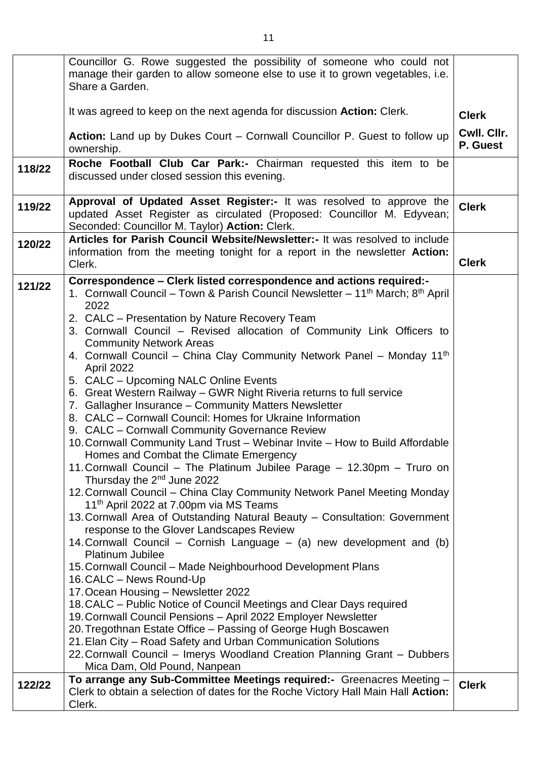|        | Councillor G. Rowe suggested the possibility of someone who could not<br>manage their garden to allow someone else to use it to grown vegetables, i.e.                                          |                         |
|--------|-------------------------------------------------------------------------------------------------------------------------------------------------------------------------------------------------|-------------------------|
|        | Share a Garden.                                                                                                                                                                                 |                         |
|        | It was agreed to keep on the next agenda for discussion <b>Action:</b> Clerk.                                                                                                                   | <b>Clerk</b>            |
|        | Action: Land up by Dukes Court – Cornwall Councillor P. Guest to follow up<br>ownership.                                                                                                        | Cwll. Cllr.<br>P. Guest |
| 118/22 | Roche Football Club Car Park:- Chairman requested this item to be<br>discussed under closed session this evening.                                                                               |                         |
| 119/22 | Approval of Updated Asset Register:- It was resolved to approve the<br>updated Asset Register as circulated (Proposed: Councillor M. Edyvean;<br>Seconded: Councillor M. Taylor) Action: Clerk. | <b>Clerk</b>            |
| 120/22 | Articles for Parish Council Website/Newsletter:- It was resolved to include<br>information from the meeting tonight for a report in the newsletter <b>Action:</b><br>Clerk.                     | <b>Clerk</b>            |
| 121/22 | Correspondence - Clerk listed correspondence and actions required:-<br>1. Cornwall Council – Town & Parish Council Newsletter – 11 <sup>th</sup> March; 8 <sup>th</sup> April<br>2022           |                         |
|        | 2. CALC - Presentation by Nature Recovery Team<br>3. Cornwall Council - Revised allocation of Community Link Officers to<br><b>Community Network Areas</b>                                      |                         |
|        | 4. Cornwall Council – China Clay Community Network Panel – Monday 11th<br>April 2022                                                                                                            |                         |
|        | 5. CALC - Upcoming NALC Online Events<br>6. Great Western Railway – GWR Night Riveria returns to full service                                                                                   |                         |
|        | 7. Gallagher Insurance - Community Matters Newsletter<br>8. CALC - Cornwall Council: Homes for Ukraine Information                                                                              |                         |
|        | 9. CALC - Cornwall Community Governance Review<br>10. Cornwall Community Land Trust - Webinar Invite - How to Build Affordable<br>Homes and Combat the Climate Emergency                        |                         |
|        | 11. Cornwall Council - The Platinum Jubilee Parage - 12.30pm - Truro on<br>Thursday the $2nd$ June 2022                                                                                         |                         |
|        | 12. Cornwall Council - China Clay Community Network Panel Meeting Monday<br>11 <sup>th</sup> April 2022 at 7.00pm via MS Teams                                                                  |                         |
|        | 13. Cornwall Area of Outstanding Natural Beauty - Consultation: Government<br>response to the Glover Landscapes Review                                                                          |                         |
|        | 14. Cornwall Council – Cornish Language – (a) new development and (b)<br><b>Platinum Jubilee</b>                                                                                                |                         |
|        | 15. Cornwall Council - Made Neighbourhood Development Plans<br>16. CALC - News Round-Up                                                                                                         |                         |
|        | 17. Ocean Housing - Newsletter 2022<br>18. CALC – Public Notice of Council Meetings and Clear Days required                                                                                     |                         |
|        | 19. Cornwall Council Pensions - April 2022 Employer Newsletter<br>20. Tregothnan Estate Office - Passing of George Hugh Boscawen                                                                |                         |
|        | 21. Elan City – Road Safety and Urban Communication Solutions<br>22. Cornwall Council - Imerys Woodland Creation Planning Grant - Dubbers                                                       |                         |
| 122/22 | Mica Dam, Old Pound, Nanpean<br>To arrange any Sub-Committee Meetings required:- Greenacres Meeting -                                                                                           | <b>Clerk</b>            |
|        | Clerk to obtain a selection of dates for the Roche Victory Hall Main Hall Action:<br>Clerk.                                                                                                     |                         |